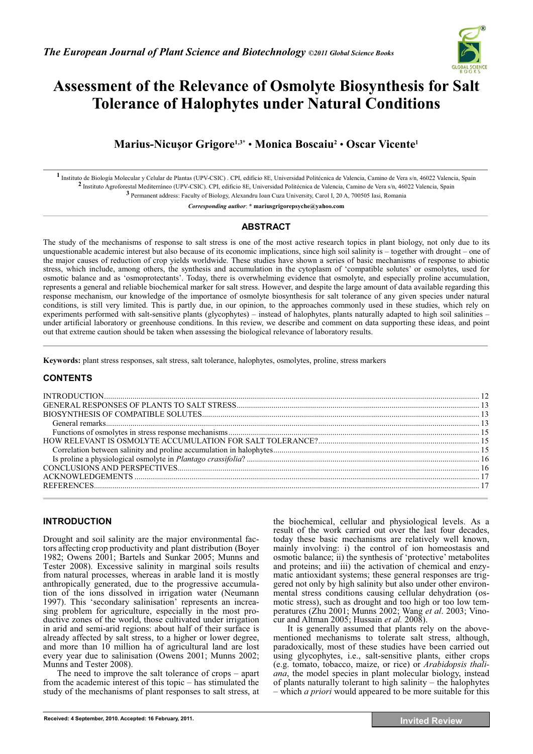

# **Assessment of the Relevance of Osmolyte Biosynthesis for Salt Tolerance of Halophytes under Natural Conditions**

**Marius-Nicu-or Grigore1,3\*** • **Monica Boscaiu2** • **Oscar Vicente1**

**1** Instituto de Biología Molecular y Celular de Plantas (UPV-CSIC) . CPI, edificio 8E, Universidad Politécnica de Valencia, Camino de Vera s/n, 46022 Valencia, Spain **2** Instituto Agroforestal Mediterráneo (UPV-CSIC). CPI, edificio 8E, Universidad Politécnica de Valencia, Camino de Vera s/n, 46022 Valencia, Spain **3** Permanent address: Faculty of Biology, Alexandru Ioan Cuza University, Carol I, 20 A, 700505 Iasi, Romania

*Corresponding author*: **\* mariusgrigorepsyche@yahoo.com** 

## **ABSTRACT**

The study of the mechanisms of response to salt stress is one of the most active research topics in plant biology, not only due to its unquestionable academic interest but also because of its economic implications, since high soil salinity is – together with drought – one of the major causes of reduction of crop yields worldwide. These studies have shown a series of basic mechanisms of response to abiotic stress, which include, among others, the synthesis and accumulation in the cytoplasm of 'compatible solutes' or osmolytes, used for osmotic balance and as 'osmoprotectants'. Today, there is overwhelming evidence that osmolyte, and especially proline accumulation, represents a general and reliable biochemical marker for salt stress. However, and despite the large amount of data available regarding this response mechanism, our knowledge of the importance of osmolyte biosynthesis for salt tolerance of any given species under natural conditions, is still very limited. This is partly due, in our opinion, to the approaches commonly used in these studies, which rely on experiments performed with salt-sensitive plants (glycophytes) – instead of halophytes, plants naturally adapted to high soil salinities – under artificial laboratory or greenhouse conditions. In this review, we describe and comment on data supporting these ideas, and point out that extreme caution should be taken when assessing the biological relevance of laboratory results.  $\mathcal{L}_\mathcal{L} = \{ \mathcal{L}_\mathcal{L} = \{ \mathcal{L}_\mathcal{L} = \{ \mathcal{L}_\mathcal{L} = \{ \mathcal{L}_\mathcal{L} = \{ \mathcal{L}_\mathcal{L} = \{ \mathcal{L}_\mathcal{L} = \{ \mathcal{L}_\mathcal{L} = \{ \mathcal{L}_\mathcal{L} = \{ \mathcal{L}_\mathcal{L} = \{ \mathcal{L}_\mathcal{L} = \{ \mathcal{L}_\mathcal{L} = \{ \mathcal{L}_\mathcal{L} = \{ \mathcal{L}_\mathcal{L} = \{ \mathcal{L}_\mathcal{$ 

**Keywords:** plant stress responses, salt stress, salt tolerance, halophytes, osmolytes, proline, stress markers

## **CONTENTS**

# **INTRODUCTION**

Drought and soil salinity are the major environmental factors affecting crop productivity and plant distribution (Boyer 1982; Owens 2001; Bartels and Sunkar 2005; Munns and Tester 2008). Excessive salinity in marginal soils results from natural processes, whereas in arable land it is mostly anthropically generated, due to the progressive accumulation of the ions dissolved in irrigation water (Neumann 1997). This 'secondary salinisation' represents an increasing problem for agriculture, especially in the most productive zones of the world, those cultivated under irrigation in arid and semi-arid regions: about half of their surface is already affected by salt stress, to a higher or lower degree, and more than 10 million ha of agricultural land are lost every year due to salinisation (Owens 2001; Munns 2002; Munns and Tester 2008).

The need to improve the salt tolerance of crops – apart from the academic interest of this topic – has stimulated the study of the mechanisms of plant responses to salt stress, at the biochemical, cellular and physiological levels. As a result of the work carried out over the last four decades, today these basic mechanisms are relatively well known, mainly involving: i) the control of ion homeostasis and osmotic balance; ii) the synthesis of 'protective' metabolites and proteins; and iii) the activation of chemical and enzymatic antioxidant systems; these general responses are triggered not only by high salinity but also under other environmental stress conditions causing cellular dehydration (osmotic stress), such as drought and too high or too low temperatures (Zhu 2001; Munns 2002; Wang *et al*. 2003; Vinocur and Altman 2005; Hussain *et al.* 2008).

It is generally assumed that plants rely on the abovementioned mechanisms to tolerate salt stress, although, paradoxically, most of these studies have been carried out using glycophytes, i.e., salt-sensitive plants, either crops (e.g. tomato, tobacco, maize, or rice) or *Arabidopsis thaliana*, the model species in plant molecular biology, instead of plants naturally tolerant to high salinity – the halophytes – which *a priori* would appeared to be more suitable for this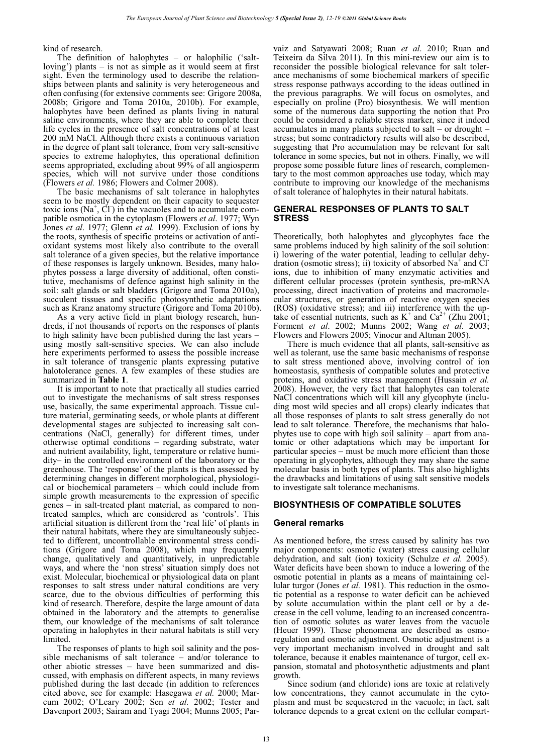kind of research.

The definition of halophytes – or halophilic ('saltloving') plants – is not as simple as it would seem at first sight. Even the terminology used to describe the relationships between plants and salinity is very heterogeneous and often confusing (for extensive comments see: Grigore 2008a, 2008b; Grigore and Toma 2010a, 2010b). For example, halophytes have been defined as plants living in natural saline environments, where they are able to complete their life cycles in the presence of salt concentrations of at least 200 mM NaCl. Although there exists a continuous variation in the degree of plant salt tolerance, from very salt-sensitive species to extreme halophytes, this operational definition seems appropriated, excluding about 99% of all angiosperm species, which will not survive under those conditions (Flowers *et al.* 1986; Flowers and Colmer 2008).

The basic mechanisms of salt tolerance in halophytes seem to be mostly dependent on their capacity to sequester toxic ions  $(Na^+, C<sup>T</sup>)$  in the vacuoles and to accumulate compatible osmotica in the cytoplasm (Flowers *et al*. 1977; Wyn Jones *et al*. 1977; Glenn *et al.* 1999). Exclusion of ions by the roots, synthesis of specific proteins or activation of antioxidant systems most likely also contribute to the overall salt tolerance of a given species, but the relative importance of these responses is largely unknown. Besides, many halophytes possess a large diversity of additional, often constitutive, mechanisms of defence against high salinity in the soil: salt glands or salt bladders (Grigore and Toma 2010a), succulent tissues and specific photosynthetic adaptations such as Kranz anatomy structure (Grigore and Toma 2010b).

As a very active field in plant biology research, hundreds, if not thousands of reports on the responses of plants to high salinity have been published during the last years – using mostly salt-sensitive species. We can also include here experiments performed to assess the possible increase in salt tolerance of transgenic plants expressing putative halotolerance genes. A few examples of these studies are summarized in **Table 1**.

It is important to note that practically all studies carried out to investigate the mechanisms of salt stress responses use, basically, the same experimental approach. Tissue culture material, germinating seeds, or whole plants at different developmental stages are subjected to increasing salt concentrations (NaCl, generally) for different times, under otherwise optimal conditions – regarding substrate, water and nutrient availability, light, temperature or relative humidity– in the controlled environment of the laboratory or the greenhouse. The 'response' of the plants is then assessed by determining changes in different morphological, physiological or biochemical parameters – which could include from simple growth measurements to the expression of specific genes – in salt-treated plant material, as compared to nontreated samples, which are considered as 'controls'. This artificial situation is different from the 'real life' of plants in their natural habitats, where they are simultaneously subjected to different, uncontrollable environmental stress conditions (Grigore and Toma 2008), which may frequently change, qualitatively and quantitatively, in unpredictable ways, and where the 'non stress' situation simply does not exist. Molecular, biochemical or physiological data on plant responses to salt stress under natural conditions are very scarce, due to the obvious difficulties of performing this kind of research. Therefore, despite the large amount of data obtained in the laboratory and the attempts to generalise them, our knowledge of the mechanisms of salt tolerance operating in halophytes in their natural habitats is still very limited.

The responses of plants to high soil salinity and the possible mechanisms of salt tolerance – and/or tolerance to other abiotic stresses – have been summarized and discussed, with emphasis on different aspects, in many reviews published during the last decade (in addition to references cited above, see for example: Hasegawa *et al.* 2000; Marcum 2002; O'Leary 2002; Sen *et al.* 2002; Tester and Davenport 2003; Sairam and Tyagi 2004; Munns 2005; Parvaiz and Satyawati 2008; Ruan *et al*. 2010; Ruan and Teixeira da Silva 2011). In this mini-review our aim is to reconsider the possible biological relevance for salt tolerance mechanisms of some biochemical markers of specific stress response pathways according to the ideas outlined in the previous paragraphs. We will focus on osmolytes, and especially on proline (Pro) biosynthesis. We will mention some of the numerous data supporting the notion that Pro could be considered a reliable stress marker, since it indeed accumulates in many plants subjected to salt – or drought – stress; but some contradictory results will also be described, suggesting that Pro accumulation may be relevant for salt tolerance in some species, but not in others. Finally, we will propose some possible future lines of research, complementary to the most common approaches use today, which may contribute to improving our knowledge of the mechanisms of salt tolerance of halophytes in their natural habitats.

## **GENERAL RESPONSES OF PLANTS TO SALT STRESS**

Theoretically, both halophytes and glycophytes face the same problems induced by high salinity of the soil solution: i) lowering of the water potential, leading to cellular dehydration (osmotic stress); ii) toxicity of absorbed  $Na<sup>+</sup>$  and  $CI$ ions, due to inhibition of many enzymatic activities and different cellular processes (protein synthesis, pre-mRNA processing, direct inactivation of proteins and macromolecular structures, or generation of reactive oxygen species (ROS) (oxidative stress); and iii) interference with the uptake of essential nutrients, such as  $K^+$  and  $Ca^{2+}$  (Zhu 2001; Forment *et al*. 2002; Munns 2002; Wang *et al*. 2003; Flowers and Flowers 2005; Vinocur and Altman 2005).

There is much evidence that all plants, salt-sensitive as well as tolerant, use the same basic mechanisms of response to salt stress mentioned above, involving control of ion homeostasis, synthesis of compatible solutes and protective proteins, and oxidative stress management (Hussain *et al.* 2008). However, the very fact that halophytes can tolerate NaCl concentrations which will kill any glycophyte (including most wild species and all crops) clearly indicates that all those responses of plants to salt stress generally do not lead to salt tolerance. Therefore, the mechanisms that halophytes use to cope with high soil salinity – apart from anatomic or other adaptations which may be important for particular species – must be much more efficient than those operating in glycophytes, although they may share the same molecular basis in both types of plants. This also highlights the drawbacks and limitations of using salt sensitive models to investigate salt tolerance mechanisms.

## **BIOSYNTHESIS OF COMPATIBLE SOLUTES**

#### **General remarks**

As mentioned before, the stress caused by salinity has two major components: osmotic (water) stress causing cellular dehydration, and salt (ion) toxicity (Schulze *et al.* 2005). Water deficits have been shown to induce a lowering of the osmotic potential in plants as a means of maintaining cellular turgor (Jones *et al.* 1981). This reduction in the osmotic potential as a response to water deficit can be achieved by solute accumulation within the plant cell or by a decrease in the cell volume, leading to an increased concentration of osmotic solutes as water leaves from the vacuole (Heuer 1999). These phenomena are described as osmoregulation and osmotic adjustment. Osmotic adjustment is a very important mechanism involved in drought and salt tolerance, because it enables maintenance of turgor, cell expansion, stomatal and photosynthetic adjustments and plant growth.

Since sodium (and chloride) ions are toxic at relatively low concentrations, they cannot accumulate in the cytoplasm and must be sequestered in the vacuole; in fact, salt tolerance depends to a great extent on the cellular compart-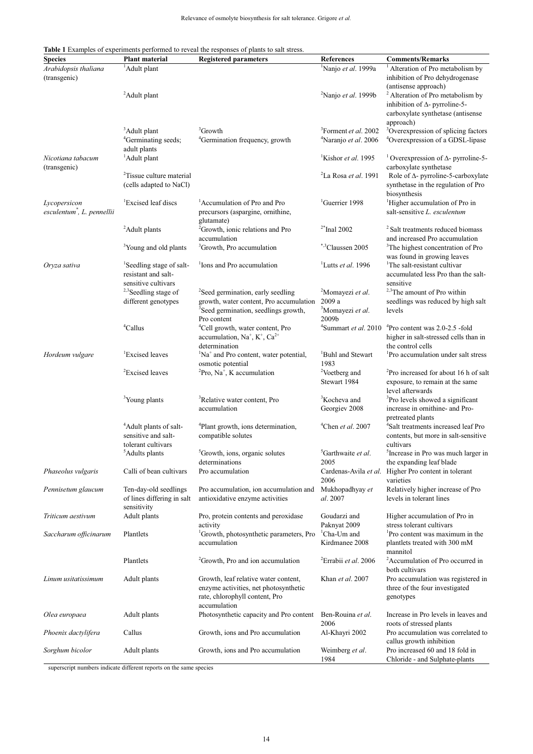#### **Table 1** Examples of experiments performed to reveal the responses of plants to salt stress.

| <b>Species</b>                                         | Plant material                                                                     | <b>Registered parameters</b>                                                                                                    | <b>References</b>                                                    | <b>Comments/Remarks</b>                                                                                                                            |
|--------------------------------------------------------|------------------------------------------------------------------------------------|---------------------------------------------------------------------------------------------------------------------------------|----------------------------------------------------------------------|----------------------------------------------------------------------------------------------------------------------------------------------------|
| Arabidopsis thaliana<br>(transgenic)                   | <sup>1</sup> Adult plant                                                           |                                                                                                                                 | <sup>1</sup> Nanjo et al. 1999a                                      | <sup>1</sup> Alteration of Pro metabolism by<br>inhibition of Pro dehydrogenase                                                                    |
|                                                        | <sup>2</sup> Adult plant                                                           |                                                                                                                                 | <sup>2</sup> Nanjo <i>et al</i> . 1999b                              | (antisense approach)<br><sup>2</sup> Alteration of Pro metabolism by<br>inhibition of $\Delta$ - pyrroline-5-<br>carboxylate synthetase (antisense |
|                                                        | <sup>3</sup> Adult plant<br><sup>4</sup> Germinating seeds;<br>adult plants        | <sup>3</sup> Growth<br><sup>4</sup> Germination frequency, growth                                                               | <sup>3</sup> Forment et al. 2002<br><sup>4</sup> Naranjo et al. 2006 | approach)<br><sup>3</sup> Overexpression of splicing factors<br><sup>4</sup> Overexpression of a GDSL-lipase                                       |
| Nicotiana tabacum<br>(transgenic)                      | <sup>1</sup> Adult plant                                                           |                                                                                                                                 | <sup>1</sup> Kishor et al. 1995                                      | <sup>1</sup> Overexpression of $\Delta$ - pyrroline-5-<br>carboxylate synthetase                                                                   |
|                                                        | <sup>2</sup> Tissue culture material<br>(cells adapted to NaCl)                    |                                                                                                                                 | $2$ La Rosa et al. 1991                                              | Role of $\Delta$ - pyrroline-5-carboxylate<br>synthetase in the regulation of Pro<br>biosynthesis                                                  |
| Lycopersicon<br>esculentum <sup>*</sup> , L. pennellii | <sup>1</sup> Excised leaf discs                                                    | <sup>1</sup> Accumulation of Pro and Pro<br>precursors (aspargine, ornithine,<br>glutamate)                                     | <sup>1</sup> Guerrier 1998                                           | <sup>1</sup> Higher accumulation of Pro in<br>salt-sensitive L. esculentum                                                                         |
|                                                        | <sup>2</sup> Adult plants                                                          | <sup>2</sup> Growth, ionic relations and Pro<br>accumulation                                                                    | $2*$ Inal 2002                                                       | <sup>2</sup> Salt treatments reduced biomass<br>and increased Pro accumulation                                                                     |
|                                                        | <sup>3</sup> Young and old plants                                                  | <sup>3</sup> Growth, Pro accumulation                                                                                           | *,3Claussen 2005                                                     | <sup>3</sup> The highest concentration of Pro<br>was found in growing leaves                                                                       |
| Oryza sativa                                           | <sup>1</sup> Seedling stage of salt-<br>resistant and salt-<br>sensitive cultivars | <sup>1</sup> Ions and Pro accumulation                                                                                          | <sup>1</sup> Lutts <i>et al.</i> 1996                                | <sup>1</sup> The salt-resistant cultivar<br>accumulated less Pro than the salt-<br>sensitive                                                       |
|                                                        | <sup>2,3</sup> Seedling stage of                                                   | <sup>2</sup> Seed germination, early seedling                                                                                   | <sup>2</sup> Momayezi et al.                                         | <sup>2,3</sup> The amount of Pro within                                                                                                            |
|                                                        | different genotypes                                                                | growth, water content, Pro accumulation<br><sup>3</sup> Seed germination, seedlings growth,<br>Pro content                      | 2009 a<br><sup>3</sup> Momayezi et al.<br>2009b                      | seedlings was reduced by high salt<br>levels                                                                                                       |
|                                                        | $^{4}$ Callus                                                                      | <sup>4</sup> Cell growth, water content, Pro<br>accumulation, $Na^+$ , $K^+$ , $Ca^{2+}$<br>determination                       | <sup>4</sup> Summart <i>et al</i> . 2010                             | <sup>4</sup> Pro content was 2.0-2.5 -fold<br>higher in salt-stressed cells than in<br>the control cells                                           |
| Hordeum vulgare                                        | <sup>1</sup> Excised leaves                                                        | <sup>1</sup> Na <sup>+</sup> and Pro content, water potential,<br>osmotic potential                                             | <sup>1</sup> Buhl and Stewart<br>1983                                | Pro accumulation under salt stress                                                                                                                 |
|                                                        | <sup>2</sup> Excised leaves                                                        | ${}^{2}$ Pro, Na <sup>+</sup> , K accumulation                                                                                  | <sup>2</sup> Voetberg and<br>Stewart 1984                            | <sup>2</sup> Pro increased for about 16 h of salt<br>exposure, to remain at the same<br>level afterwards                                           |
|                                                        | <sup>3</sup> Young plants                                                          | <sup>3</sup> Relative water content, Pro<br>accumulation                                                                        | <sup>3</sup> Kocheva and<br>Georgiev 2008                            | <sup>3</sup> Pro levels showed a significant<br>increase in ornithine- and Pro-<br>pretreated plants                                               |
|                                                        | <sup>4</sup> Adult plants of salt-<br>sensitive and salt-<br>tolerant cultivars    | <sup>4</sup> Plant growth, ions determination,<br>compatible solutes                                                            | <sup>4</sup> Chen <i>et al.</i> 2007                                 | <sup>4</sup> Salt treatments increased leaf Pro<br>contents, but more in salt-sensitive<br>cultivars                                               |
|                                                        | <sup>5</sup> Adults plants                                                         | <sup>5</sup> Growth, ions, organic solutes<br>determinations                                                                    | <sup>5</sup> Garthwaite et al.<br>2005                               | <sup>5</sup> Increase in Pro was much larger in<br>the expanding leaf blade                                                                        |
| Phaseolus vulgaris                                     | Calli of bean cultivars                                                            | Pro accumulation                                                                                                                | 2006                                                                 | Cardenas-Avila et al. Higher Pro content in tolerant<br>varieties                                                                                  |
| Pennisetum glaucum                                     | Ten-day-old seedlings<br>of lines differing in salt<br>sensitivity                 | Pro accumulation, ion accumulation and<br>antioxidative enzyme activities                                                       | Mukhopadhyay et<br>al. 2007                                          | Relatively higher increase of Pro<br>levels in tolerant lines                                                                                      |
| Triticum aestivum                                      | Adult plants                                                                       | Pro, protein contents and peroxidase<br>activity                                                                                | Goudarzi and<br>Paknyat 2009                                         | Higher accumulation of Pro in<br>stress tolerant cultivars                                                                                         |
| Saccharum officinarum                                  | Plantlets                                                                          | <sup>1</sup> Growth, photosynthetic parameters, Pro<br>accumulation                                                             | <sup>1</sup> Cha-Um and<br>Kirdmanee 2008                            | <sup>1</sup> Pro content was maximum in the<br>plantlets treated with 300 mM<br>mannitol                                                           |
|                                                        | Plantlets                                                                          | <sup>2</sup> Growth, Pro and ion accumulation                                                                                   | <sup>2</sup> Errabii et al. 2006                                     | <sup>2</sup> Accumulation of Pro occurred in<br>both cultivars                                                                                     |
| Linum usitatissimum                                    | Adult plants                                                                       | Growth, leaf relative water content,<br>enzyme activities, net photosynthetic<br>rate, chlorophyll content, Pro<br>accumulation | Khan et al. 2007                                                     | Pro accumulation was registered in<br>three of the four investigated<br>genotypes                                                                  |
| Olea europaea                                          | Adult plants                                                                       | Photosynthetic capacity and Pro content                                                                                         | Ben-Rouina et al.<br>2006                                            | Increase in Pro levels in leaves and<br>roots of stressed plants                                                                                   |
| Phoenix dactylifera                                    | Callus                                                                             | Growth, ions and Pro accumulation                                                                                               | Al-Khayri 2002                                                       | Pro accumulation was correlated to<br>callus growth inhibition                                                                                     |
| Sorghum bicolor                                        | Adult plants                                                                       | Growth, ions and Pro accumulation                                                                                               | Weimberg et al.<br>1984                                              | Pro increased 60 and 18 fold in<br>Chloride - and Sulphate-plants                                                                                  |

superscript numbers indicate different reports on the same species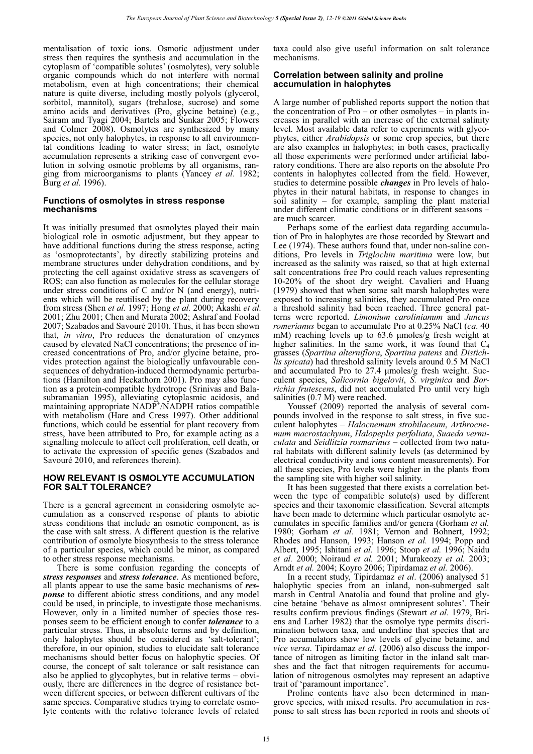mentalisation of toxic ions. Osmotic adjustment under stress then requires the synthesis and accumulation in the cytoplasm of 'compatible solutes' (osmolytes), very soluble organic compounds which do not interfere with normal metabolism, even at high concentrations; their chemical nature is quite diverse, including mostly polyols (glycerol, sorbitol, mannitol), sugars (trehalose, sucrose) and some amino acids and derivatives (Pro, glycine betaine) (e.g., Sairam and Tyagi 2004; Bartels and Sunkar 2005; Flowers and Colmer 2008). Osmolytes are synthesized by many species, not only halophytes, in response to all environmental conditions leading to water stress; in fact, osmolyte accumulation represents a striking case of convergent evolution in solving osmotic problems by all organisms, ranging from microorganisms to plants (Yancey *et al*. 1982; Burg *et al.* 1996).

## **Functions of osmolytes in stress response mechanisms**

It was initially presumed that osmolytes played their main biological role in osmotic adjustment, but they appear to have additional functions during the stress response, acting as 'osmoprotectants', by directly stabilizing proteins and membrane structures under dehydration conditions, and by protecting the cell against oxidative stress as scavengers of ROS; can also function as molecules for the cellular storage under stress conditions of C and/or N (and energy), nutrients which will be reutilised by the plant during recovery from stress (Shen *et al.* 1997; Hong *et al.* 2000; Akashi *et al.* 2001; Zhu 2001; Chen and Murata 2002; Ashraf and Foolad 2007; Szabados and Savouré 2010). Thus, it has been shown that, *in vitro*, Pro reduces the denaturation of enzymes caused by elevated NaCl concentrations; the presence of increased concentrations of Pro, and/or glycine betaine, provides protection against the biologically unfavourable consequences of dehydration-induced thermodynamic perturbations (Hamilton and Heckathorn 2001). Pro may also function as a protein-compatible hydrotrope (Srinivas and Balasubramanian 1995), alleviating cytoplasmic acidosis, and maintaining appropriate NADP<sup>+</sup>/NADPH ratios compatible with metabolism (Hare and Cress 1997). Other additional functions, which could be essential for plant recovery from stress, have been attributed to Pro, for example acting as a signalling molecule to affect cell proliferation, cell death, or to activate the expression of specific genes (Szabados and Savouré 2010, and references therein).

## **HOW RELEVANT IS OSMOLYTE ACCUMULATION FOR SALT TOLERANCE?**

There is a general agreement in considering osmolyte accumulation as a conserved response of plants to abiotic stress conditions that include an osmotic component, as is the case with salt stress. A different question is the relative contribution of osmolyte biosynthesis to the stress tolerance of a particular species, which could be minor, as compared to other stress response mechanisms.

There is some confusion regarding the concepts of *stress responses* and *stress tolerance*. As mentioned before, all plants appear to use the same basic mechanisms of *response* to different abiotic stress conditions, and any model could be used, in principle, to investigate those mechanisms. However, only in a limited number of species those responses seem to be efficient enough to confer *tolerance* to a particular stress. Thus, in absolute terms and by definition, only halophytes should be considered as 'salt-tolerant'; therefore, in our opinion, studies to elucidate salt tolerance mechanisms should better focus on halophytic species. Of course, the concept of salt tolerance or salt resistance can also be applied to glycophytes, but in relative terms – obviously, there are differences in the degree of resistance between different species, or between different cultivars of the same species. Comparative studies trying to correlate osmolyte contents with the relative tolerance levels of related

taxa could also give useful information on salt tolerance mechanisms.

#### **Correlation between salinity and proline accumulation in halophytes**

A large number of published reports support the notion that the concentration of Pro – or other osmolytes – in plants increases in parallel with an increase of the external salinity level. Most available data refer to experiments with glycophytes, either *Arabidopsis* or some crop species, but there are also examples in halophytes; in both cases, practically all those experiments were performed under artificial laboratory conditions. There are also reports on the absolute Pro contents in halophytes collected from the field. However, studies to determine possible *changes* in Pro levels of halophytes in their natural habitats, in response to changes in soil salinity – for example, sampling the plant material under different climatic conditions or in different seasons – are much scarcer.

Perhaps some of the earliest data regarding accumulation of Pro in halophytes are those recorded by Stewart and Lee (1974). These authors found that, under non-saline conditions, Pro levels in *Triglochin maritima* were low, but increased as the salinity was raised, so that at high external salt concentrations free Pro could reach values representing 10-20% of the shoot dry weight. Cavalieri and Huang (1979) showed that when some salt marsh halophytes were exposed to increasing salinities, they accumulated Pro once a threshold salinity had been reached. Three general patterns were reported. *Limonium carolinianum* and *Juncus romerianus* began to accumulate Pro at 0.25% NaCl (*ca*. 40 mM) reaching levels up to 63.6 µmoles/g fresh weight at higher salinities. In the same work, it was found that  $C_4$ grasses (*Spartina alterniflora*, *Spartina patens* and *Distichlis spicata*) had threshold salinity levels around 0.5 M NaCl and accumulated Pro to 27.4 µmoles/g fresh weight. Succulent species, *Salicornia bigelovii*, *S. virginica* and *Borrichia frutescens*, did not accumulated Pro until very high salinities (0.7 M) were reached.

Youssef (2009) reported the analysis of several compounds involved in the response to salt stress, in five succulent halophytes – *Halocnemum strobilaceum*, *Arthrocnemum macrostachyum*, *Halopeplis perfoliata*, *Suaeda vermiculata* and *Seidlitzia rosmarinus* – collected from two natural habitats with different salinity levels (as determined by electrical conductivity and ions content measurements). For all these species, Pro levels were higher in the plants from the sampling site with higher soil salinity.

It has been suggested that there exists a correlation between the type of compatible solute(s) used by different species and their taxonomic classification. Several attempts have been made to determine which particular osmolyte accumulates in specific families and/or genera (Gorham *et al.*  1980; Gorham *et al.* 1981; Vernon and Bohnert, 1992; Rhodes and Hanson, 1993; Hanson *et al.* 1994; Popp and Albert, 1995; Ishitani *et al.* 1996; Stoop *et al.* 1996; Naidu *et al.* 2000; Noiraud *et al.* 2001; Murakeozy *et al.* 2003; Arndt *et al.* 2004; Koyro 2006; Tipirdamaz *et al.* 2006).

In a recent study, Tipirdamaz *et al*. (2006) analysed 51 halophytic species from an inland, non-submerged salt marsh in Central Anatolia and found that proline and glycine betaine 'behave as almost omnipresent solutes'. Their results confirm previous findings (Stewart *et al.* 1979, Briens and Larher 1982) that the osmolye type permits discrimination between taxa, and underline that species that are Pro accumulators show low levels of glycine betaine, and *vice versa*. Tipirdamaz *et al*. (2006) also discuss the importance of nitrogen as limiting factor in the inland salt marshes and the fact that nitrogen requirements for accumulation of nitrogenous osmolytes may represent an adaptive trait of 'paramount importance'.

Proline contents have also been determined in mangrove species, with mixed results. Pro accumulation in response to salt stress has been reported in roots and shoots of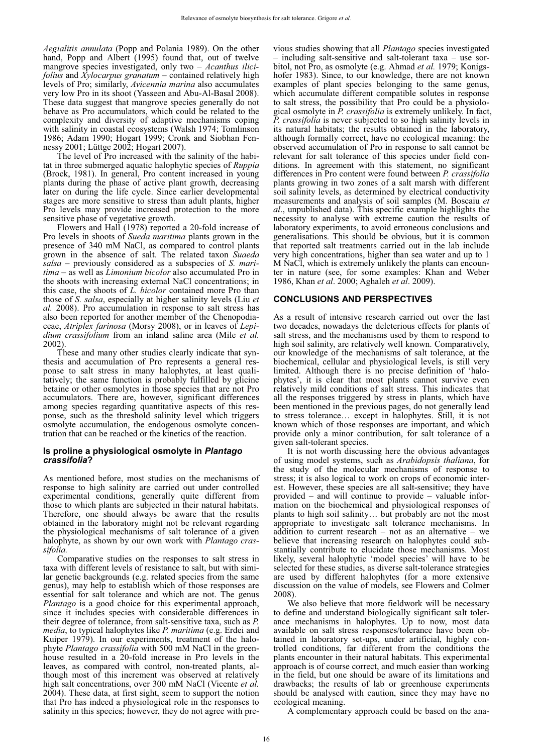*Aegialitis annulata* (Popp and Polania 1989). On the other hand, Popp and Albert (1995) found that, out of twelve mangrove species investigated, only two – *Acanthus ilicifolius* and *Xylocarpus granatum –* contained relatively high levels of Pro; similarly, *Avicennia marina* also accumulates very low Pro in its shoot (Yasseen and Abu-Al-Basal 2008). These data suggest that mangrove species generally do not behave as Pro accumulators, which could be related to the complexity and diversity of adaptive mechanisms coping with salinity in coastal ecosystems (Walsh 1974; Tomlinson 1986; Adam 1990; Hogart 1999; Cronk and Siobhan Fennessy 2001; Lüttge 2002; Hogart 2007).

The level of Pro increased with the salinity of the habitat in three submerged aquatic halophytic species of *Ruppia* (Brock, 1981). In general, Pro content increased in young plants during the phase of active plant growth, decreasing later on during the life cycle. Since earlier developmental stages are more sensitive to stress than adult plants, higher Pro levels may provide increased protection to the more sensitive phase of vegetative growth.

Flowers and Hall (1978) reported a 20-fold increase of Pro levels in shoots of *Sueda maritima* plants grown in the presence of 340 mM NaCl, as compared to control plants grown in the absence of salt. The related taxon *Suaeda salsa* – previously considered as a subspecies of *S. maritima* – as well as *Limonium bicolor* also accumulated Pro in the shoots with increasing external NaCl concentrations; in this case, the shoots of *L. bicolor* contained more Pro than those of *S. salsa*, especially at higher salinity levels (Liu *et al.* 2008). Pro accumulation in response to salt stress has also been reported for another member of the Chenopodiaceae, *Atriplex farinosa* (Morsy 2008), or in leaves of *Lepidium crassifolium* from an inland saline area (Mile *et al.* 2002).

These and many other studies clearly indicate that synthesis and accumulation of Pro represents a general response to salt stress in many halophytes, at least qualitatively; the same function is probably fulfilled by glicine betaine or other osmolytes in those species that are not Pro accumulators. There are, however, significant differences among species regarding quantitative aspects of this response, such as the threshold salinity level which triggers osmolyte accumulation, the endogenous osmolyte concentration that can be reached or the kinetics of the reaction.

#### **Is proline a physiological osmolyte in** *Plantago crassifolia***?**

As mentioned before, most studies on the mechanisms of response to high salinity are carried out under controlled experimental conditions, generally quite different from those to which plants are subjected in their natural habitats. Therefore, one should always be aware that the results obtained in the laboratory might not be relevant regarding the physiological mechanisms of salt tolerance of a given halophyte, as shown by our own work with *Plantago crassifolia.*

Comparative studies on the responses to salt stress in taxa with different levels of resistance to salt, but with similar genetic backgrounds (e.g. related species from the same genus), may help to establish which of those responses are essential for salt tolerance and which are not. The genus *Plantago* is a good choice for this experimental approach, since it includes species with considerable differences in their degree of tolerance, from salt-sensitive taxa, such as *P. media*, to typical halophytes like *P. maritima* (e.g. Erdei and Kuiper 1979). In our experiments, treatment of the halophyte *Plantago crassifolia* with 500 mM NaCl in the greenhouse resulted in a 20-fold increase in Pro levels in the leaves, as compared with control, non-treated plants, although most of this increment was observed at relatively high salt concentrations, over 300 mM NaCl (Vicente *et al.* 2004). These data, at first sight, seem to support the notion that Pro has indeed a physiological role in the responses to salinity in this species; however, they do not agree with previous studies showing that all *Plantago* species investigated – including salt-sensitive and salt-tolerant taxa – use sorbitol, not Pro, as osmolyte (e.g. Ahmad *et al.* 1979; Konigshofer 1983). Since, to our knowledge, there are not known examples of plant species belonging to the same genus, which accumulate different compatible solutes in response to salt stress, the possibility that Pro could be a physiological osmolyte in *P. crassifolia* is extremely unlikely. In fact, *P. crassifolia* is never subjected to so high salinity levels in its natural habitats; the results obtained in the laboratory, although formally correct, have no ecological meaning: the observed accumulation of Pro in response to salt cannot be relevant for salt tolerance of this species under field conditions. In agreement with this statement, no significant differences in Pro content were found between *P. crassifolia* plants growing in two zones of a salt marsh with different soil salinity levels, as determined by electrical conductivity measurements and analysis of soil samples (M. Boscaiu *et al*., unpublished data). This specific example highlights the necessity to analyse with extreme caution the results of laboratory experiments, to avoid erroneous conclusions and generalisations. This should be obvious, but it is common that reported salt treatments carried out in the lab include very high concentrations, higher than sea water and up to 1 M NaCl, which is extremely unlikely the plants can encounter in nature (see, for some examples: Khan and Weber 1986, Khan *et al*. 2000; Aghaleh *et al*. 2009).

## **CONCLUSIONS AND PERSPECTIVES**

As a result of intensive research carried out over the last two decades, nowadays the deleterious effects for plants of salt stress, and the mechanisms used by them to respond to high soil salinity, are relatively well known. Comparatively, our knowledge of the mechanisms of salt tolerance, at the biochemical, cellular and physiological levels, is still very limited. Although there is no precise definition of 'halophytes', it is clear that most plants cannot survive even relatively mild conditions of salt stress. This indicates that all the responses triggered by stress in plants, which have been mentioned in the previous pages, do not generally lead to stress tolerance… except in halophytes. Still, it is not known which of those responses are important, and which provide only a minor contribution, for salt tolerance of a given salt-tolerant species.

It is not worth discussing here the obvious advantages of using model systems, such as *Arabidopsis thaliana*, for the study of the molecular mechanisms of response to stress; it is also logical to work on crops of economic interest. However, these species are all salt-sensitive; they have provided – and will continue to provide – valuable information on the biochemical and physiological responses of plants to high soil salinity… but probably are not the most appropriate to investigate salt tolerance mechanisms. In addition to current research – not as an alternative – we believe that increasing research on halophytes could substantially contribute to elucidate those mechanisms. Most likely, several halophytic 'model species' will have to be selected for these studies, as diverse salt-tolerance strategies are used by different halophytes (for a more extensive discussion on the value of models, see Flowers and Colmer 2008).

We also believe that more fieldwork will be necessary to define and understand biologically significant salt tolerance mechanisms in halophytes. Up to now, most data available on salt stress responses/tolerance have been obtained in laboratory set-ups, under artificial, highly controlled conditions, far different from the conditions the plants encounter in their natural habitats. This experimental approach is of course correct, and much easier than working in the field, but one should be aware of its limitations and drawbacks; the results of lab or greenhouse experiments should be analysed with caution, since they may have no ecological meaning.

A complementary approach could be based on the ana-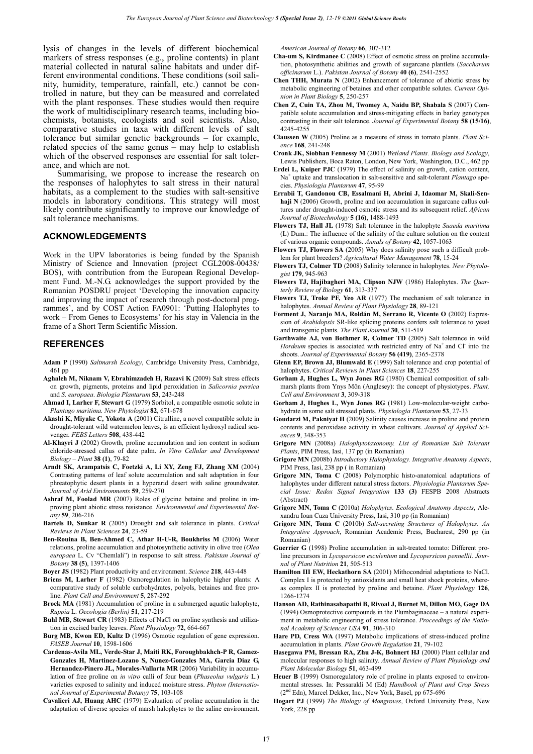lysis of changes in the levels of different biochemical markers of stress responses (e.g., proline contents) in plant material collected in natural saline habitats and under different environmental conditions. These conditions (soil salinity, humidity, temperature, rainfall, etc.) cannot be controlled in nature, but they can be measured and correlated with the plant responses. These studies would then require the work of multidisciplinary research teams, including biochemists, botanists, ecologists and soil scientists. Also, comparative studies in taxa with different levels of salt tolerance but similar genetic backgrounds – for example, related species of the same genus – may help to establish which of the observed responses are essential for salt tolerance, and which are not.

Summarising, we propose to increase the research on the responses of halophytes to salt stress in their natural habitats, as a complement to the studies with salt-sensitive models in laboratory conditions. This strategy will most likely contribute significantly to improve our knowledge of salt tolerance mechanisms.

#### **ACKNOWLEDGEMENTS**

Work in the UPV laboratories is being funded by the Spanish Ministry of Science and Innovation (project CGL2008-00438/ BOS), with contribution from the European Regional Development Fund. M.-N.G. acknowledges the support provided by the Romanian POSDRU project 'Developing the innovation capacity and improving the impact of research through post-doctoral programmes', and by COST Action FA0901: 'Putting Halophytes to work – From Genes to Ecosystems' for his stay in Valencia in the frame of a Short Term Scientific Mission.

#### **REFERENCES**

- **Adam P** (1990) *Saltmarsh Ecology*, Cambridge University Press, Cambridge, 461 pp
- **Aghaleh M, Niknam V, Ebrahimzadeh H, Razavi K** (2009) Salt stress effects on growth, pigments, proteins and lipid peroxidation in *Salicornia persica* and *S. europaea*. *Biologia Plantarum* **53**, 243-248
- **Ahmad I, Larher F, Stewart G** (1979) Sorbitol, a compatible osmotic solute in *Plantago maritima. New Phytologist* **82**, 671-678
- **Akashi K, Miyake C, Yokota A** (2001) Citrulline, a novel compatible solute in drought-tolerant wild watermelon leaves, is an efficient hydroxyl radical scavenger. *FEBS Letters* **508**, 438-442
- **Al-Khayri J** (2002) Growth, proline accumulation and ion content in sodium chloride-stressed callus of date palm. *In Vitro Cellular and Development Biology – Plant* **38 (1)**, 79-82
- **Arndt SK, Arampatsis C, Foetzki A, Li XY, Zeng FJ, Zhang XM** (2004) Contrasting patterns of leaf solute accumulation and salt adaptation in four phreatophytic desert plants in a hyperarid desert with saline groundwater. *Journal of Arid Environments* **59**, 259-270
- **Ashraf M, Foolad MR** (2007) Roles of glycine betaine and proline in improving plant abiotic stress resistance. *Environmental and Experimental Botany* **59**, 206-216
- **Bartels D, Sunkar R** (2005) Drought and salt tolerance in plants. *Critical Reviews in Plant Sciences* **24**, 23-59
- **Ben-Rouina B, Ben-Ahmed C, Athar H-U-R, Boukhriss M** (2006) Water relations, proline accumulation and photosynthetic activity in olive tree (*Olea europaea* L. Cv "Chemlali") in response to salt stress. *Pakistan Journal of Botany* **38 (5)**, 1397-1406
- **Boyer JS** (1982) Plant productivity and environment. *Science* **218**, 443-448
- **Briens M, Larher F** (1982) Osmoregulation in halophytic higher plants: A comparative study of soluble carbohydrates, polyols, betaines and free proline. *Plant Cell and Environment* **5**, 287-292
- **Brock MA** (1981) Accumulation of proline in a submerged aquatic halophyte, *Ruppia* L. *Oecologia (Berlin)* **51**, 217-219
- **Buhl MB, Stewart CR** (1983) Effects of NaCl on proline synthesis and utilization in excised barley leaves. *Plant Physiology* **72**, 664-667
- **Burg MB, Kwon ED, Kultz D** (1996) Osmotic regulation of gene expression. *FASEB Journal* **10**, 1598-1606
- **Cardenas-Avila ML, Verde-Star J, Maiti RK, Foroughbakhch-P R, Gamez-Gonzales H, Martinez-Lozano S, Nunez-Gonzales MA, Garcia Diaz G, Hernandez-Pinero JL, Morales-Vallarta MR** (2006) Variability in accumulation of free proline on *in vitro* calli of four bean (*Phaseolus vulgaris* L.) varieties exposed to salinity and induced moisture stress. *Phyton (International Journal of Experimental Botany)* **75**, 103-108
- **Cavalieri AJ, Huang AHC** (1979) Evaluation of proline accumulation in the adaptation of diverse species of marsh halophytes to the saline environment.

*American Journal of Botany* **66**, 307-312

- **Cha-um S, Kirdmanee C** (2008) Effect of osmotic stress on proline accumulation, photosynthetic abilities and growth of sugarcane plantlets (*Saccharum officinarum* L.). *Pakistan Journal of Botany* **40 (6)**, 2541-2552
- **Chen THH, Murata N** (2002) Enhancement of tolerance of abiotic stress by metabolic engineering of betaines and other compatible solutes. *Current Opinion in Plant Biology* **5**, 250-257
- **Chen Z, Cuin TA, Zhou M, Twomey A, Naidu BP, Shabala S** (2007) Compatible solute accumulation and stress-mitigating effects in barley genotypes contrasting in their salt tolerance. *Journal of Experimental Botany* **58 (15/16)**, 4245-4255
- **Claussen W** (2005) Proline as a measure of stress in tomato plants. *Plant Science* **168**, 241-248
- **Cronk JK, Siobhan Fennessy M** (2001) *Wetland Plants. Biology and Ecology*, Lewis Publishers, Boca Raton, London, New York, Washington, D.C., 462 pp
- **Erdei L, Kuiper PJC** (1979) The effect of salinity on growth, cation content, Na<sup>+</sup> uptake and translocation in salt-sensitive and salt-tolerant *Plantago* species. *Physiologia Plantarum* **47**, 95-99
- **Errabii T, Gandonou CB, Essalmani H, Abrini J, Idaomar M, Skali-Sen**haji N (2006) Growth, proline and ion accumulation in sugarcane callus cultures under drought-induced osmotic stress and its subsequent relief. *African Journal of Biotechnology* **5 (16)**, 1488-1493
- **Flowers TJ, Hall JL** (1978) Salt tolerance in the halophyte *Suaeda maritima* (L) Dum.: The influence of the salinity of the culture solution on the content of various organic compounds. *Annals of Botany* **42**, 1057-1063
- **Flowers TJ, Flowers SA** (2005) Why does salinity pose such a difficult problem for plant breeders? *Agricultural Water Management* **78**, 15-24
- **Flowers TJ, Colmer TD** (2008) Salinity tolerance in halophytes. *New Phytologist* **179**, 945-963
- **Flowers TJ, Hajibagheri MA, Clipson NJW** (1986) Halophytes. *The Quarterly Review of Biology* **61**, 313-337
- **Flowers TJ, Troke PF, Yeo AR** (1977) The mechanism of salt tolerance in halophytes. *Annual Review of Plant Physiology* **28**, 89-121
- **Forment J, Naranjo MA, Roldán M, Serrano R, Vicente O** (2002) Expression of *Arabidopsis* SR-like splicing proteins confers salt tolerance to yeast and transgenic plants. *The Plant Journal* **30**, 511-519
- **Garthwaite AJ, von Bothmer R, Colmer TD** (2005) Salt tolerance in wild Hordeum species is associated with restricted entry of Na<sup>+</sup> and Cl<sup>-</sup> into the shoots. *Journal of Experimental Botany* **56 (419)**, 2365-2378
- **Glenn EP, Brown JJ, Blumwald E** (1999) Salt tolerance and crop potential of halophytes. *Critical Reviews in Plant Sciences* **18**, 227-255
- **Gorham J, Hughes L, Wyn Jones RG** (1980) Chemical composition of saltmarsh plants from Ynys Môn (Anglesey): the concept of physiotypes. *Plant, Cell and Environment* **3**, 309-318
- **Gorham J, Hughes L, Wyn Jones RG** (1981) Low-molecular-weight carbohydrate in some salt stressed plants. *Physiologia Plantarum* **53**, 27-33
- **Goudarzi M, Pakniyat H** (2009) Salinity causes increase in proline and protein contents and peroxidase activity in wheat cultivars. *Journal of Applied Sciences* **9**, 348-353
- **Grigore MN** (2008a) *Halophytotaxonomy. List of Romanian Salt Tolerant Plants*, PIM Press, Iasi, 137 pp (in Romanian)
- **Grigore MN** (2008b) *Introductory Halophytology. Integrative Anatomy Aspects*, PIM Press, Iasi, 238 pp ( in Romanian)
- **Grigore MN, Toma C** (2008) Polymorphic histo-anatomical adaptations of halophytes under different natural stress factors. *Physiologia Plantarum Special Issue: Redox Signal Integration* **133 (3)** FESPB 2008 Abstracts (Abstract)
- **Grigore MN, Toma C** (2010a) *Halophytes. Ecological Anatomy Aspects*, Alexandru Ioan Cuza University Press, Iasi, 310 pp (in Romanian)
- **Grigore MN, Toma C** (2010b) *Salt-secreting Structures of Halophytes. An Integrative Approach*, Romanian Academic Press, Bucharest, 290 pp (in Romanian)
- **Guerrier G** (1998) Proline accumulation in salt-treated tomato: Different proline precursors in *Lycopersicon esculentum* and *Lycopersicon pennellii*. *Journal of Plant Nutrition* **21**, 505-513
- **Hamilton III EW, Heckathorn SA** (2001) Mithocondrial adaptations to NaCl. Complex I is protected by antioxidants and small heat shock proteins, whereas complex II is protected by proline and betaine. *Plant Physiology* **126**, 1266-1274
- **Hanson AD, Rathinasabapathi B, Rivoal J, Burnet M, Dillon MO, Gage DA**  (1994) Osmoprotective compounds in the Plumbaginaceae – a natural experiment in metabolic engineering of stress tolerance. *Proceedings of the National Academy of Sciences USA* **91**, 306-310
- **Hare PD, Cress WA** (1997) Metabolic implications of stress-induced proline accumulation in plants. *Plant Growth Regulation* **21**, 79-102
- **Hasegawa PM, Bressan RA, Zhu J-K, Bohnert HJ** (2000) Plant cellular and molecular responses to high salinity. *Annual Review of Plant Physiology and Plant Molecular Biology* **51**, 463-499
- **Heuer B** (1999) Osmoregulatory role of proline in plants exposed to environmental stresses. In: Pessarakli M (Ed) *Handbook of Plant and Crop Stress* (2nd Edn), Marcel Dekker, Inc., New York, Basel, pp 675-696
- **Hogart PJ** (1999) *The Biology of Mangroves*, Oxford University Press, New York, 228 pp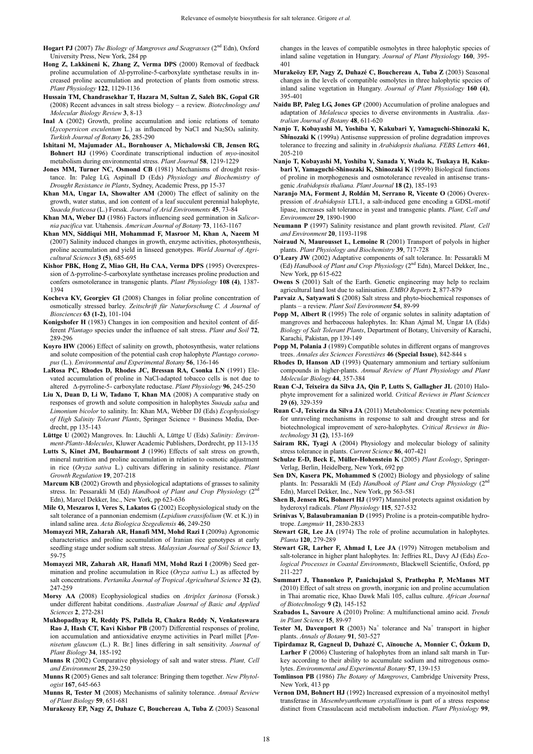- **Hogart PJ** (2007) *The Biology of Mangroves and Seagrasses* (2<sup>nd</sup> Edn), Oxford University Press, New York, 284 pp
- **Hong Z, Lakkineni K, Zhang Z, Verma DPS** (2000) Removal of feedback proline accumulation of  $\Delta l$ -pyrroline-5-carboxylate synthetase results in increased proline accumulation and protection of plants from osmotic stress. *Plant Physiology* **122**, 1129-1136
- **Hussain TM, Chandrasekhar T, Hazara M, Sultan Z, Saleh BK, Gopal GR** (2008) Recent advances in salt stress biology – a review. *Biotechnology and Molecular Biology Review* **3**, 8-13
- **Inal A** (2002) Growth, proline accumulation and ionic relations of tomato  $(Lycopersicon$  *esculentum* L.) as influenced by NaCl and Na<sub>2</sub>SO<sub>4</sub> salinity. *Turkish Journal of Botany* **26**, 285-290
- **Ishitani M, Majumader AL, Bornhouser A, Michalowski CB, Jensen RG, Bohnert HJ** (1996) Coordinate transcriptional induction of *myo*-inositol metabolism during environmental stress. *Plant Journal* **58**, 1219-1229
- **Jones MM, Turner NC, Osmond CB** (1981) Mechanisms of drought resistance. In: Paleg LG, Aspinall D (Eds) *Physiology and Biochemistry of Drought Resistance in Plants*, Sydney, Academic Press, pp 15-37
- **Khan MA, Ungar IA, Showalter AM** (2000) The effect of salinity on the growth, water status, and ion content of a leaf succulent perennial halophyte, *Suaeda fruticosa* (L.) Forssk. *Journal of Arid Environments* **45**, 73-84
- **Khan MA, Weber DJ** (1986) Factors influencing seed germination in *Salicornia pacifica* var. Utahensis. *American Journal of Botany* **73**, 1163-1167
- **Khan MN, Siddiqui MH, Mohammad F, Masroor M, Khan A, Naeem M** (2007) Salinity induced changes in growth, enzyme activities, photosynthesis, proline accumulation and yield in linseed genotypes. *World Journal of Agricultural Sciences* **3 (5)**, 685-695
- **Kishor PBK, Hong Z, Miao GH, Hu CAA, Verma DPS** (1995) Overexpression of  $\Delta$ -pyrroline-5-carboxylate synthetase increases proline production and confers osmotolerance in transgenic plants. *Plant Physiology* **108 (4)**, 1387- 1394
- **Kocheva KV, Georgiev GI** (2008) Changes in foliar proline concentration of osmotically stressed barley. *Zeitschrift für Naturforschung C. A Journal of Biosciences* **63 (1-2)**, 101-104
- **Konigshofer H** (1983) Changes in ion composition and hexitol content of different *Plantago* species under the influence of salt stress. *Plant and Soil* **72**, 289-296
- **Koyro HW** (2006) Effect of salinity on growth, photosynthesis, water relations and solute composition of the potential cash crop halophyte *Plantago coronopus* (L.). *Environmental and Experimental Botany* **56**, 136-146
- **LaRosa PC, Rhodes D, Rhodes JC, Bressan RA, Csonka LN** (1991) Elevated accumulation of proline in NaCl-adapted tobacco cells is not due to altered  $\Delta$ -pyrroline-5- carboxylate reductase. *Plant Physiology* 96, 245-250
- **Liu X, Duan D, Li W, Tadano T, Khan MA** (2008) A comparative study on responses of growth and solute composition in halophytes *Suaeda salsa* and *Limonium bicolor* to salinity. In: Khan MA, Webber DJ (Eds) *Ecophysiology of High Salinity Tolerant Plants*, Springer Science + Business Media, Dordrecht, pp 135-143
- **Lüttge U** (2002) Mangroves. In: Läuchli A, Lüttge U (Eds) *Salinity: Environment-Plants-Molecules*, Kluwer Academic Publishers, Dordrecht, pp 113-135
- **Lutts S, Kinet JM, Bouharmont J** (1996) Effects of salt stress on growth, mineral nutrition and proline accumulation in relation to osmotic adjustment in rice (*Oryza sativa* L.) cultivars differing in salinity resistance. *Plant Growth Regulation* **19**, 207-218
- **Marcum KB** (2002) Growth and physiological adaptations of grasses to salinity stress. In: Pessarakli M (Ed) *Handbook of Plant and Crop Physiology* (2<sup>n</sup> Edn), Marcel Dekker, Inc., New York, pp 623-636
- **Mile O, Meszaros I, Veres S, Lakatos G** (2002) Ecophysiological study on the salt tolerance of a pannonian endemism (*Lepidium crassifolium* (W. et K.)) in inland saline area. *Acta Biologica Szegediensis* **46**, 249-250
- **Momayezi MR, Zaharah AR, Hanafi MM, Mohd Razi I** (2009a) Agronomic characteristics and proline accumulation of Iranian rice genotypes at early seedling stage under sodium salt stress. *Malaysian Journal of Soil Science* **13**, 59-75
- **Momayezi MR, Zaharah AR, Hanafi MM, Mohd Razi I** (2009b) Seed germination and proline accumulation in Rice (*Oryza sativa* L.) as affected by salt concentrations. *Pertanika Journal of Tropical Agricultural Science* **32 (2)**, 247-259
- **Morsy AA** (2008) Ecophysiological studies on *Atriplex farinosa* (Forssk.) under different habitat conditions. *Australian Journal of Basic and Applied Sciences* **2**, 272-281
- **Mukhopadhyay R, Reddy PS, Pallela R, Chakra Reddy N, Venkateswara Rao J, Hash CT, Kavi Kishor PB** (2007) Differential responses of proline, ion accumulation and antioxidative enzyme activities in Pearl millet [*Pennisetum glaucum* (L.) R. Br.] lines differing in salt sensitivity. *Journal of Plant Biology* **34**, 185-192
- **Munns R** (2002) Comparative physiology of salt and water stress. *Plant, Cell and Environment* **25**, 239-250
- **Munns R** (2005) Genes and salt tolerance: Bringing them together. *New Phytologist* **167**, 645-663
- **Munns R, Tester M** (2008) Mechanisms of salinity tolerance. *Annual Review of Plant Biology* **59**, 651-681
- **Murakeozy EP, Nagy Z, Duhaze C, Bouchereau A, Tuba Z** (2003) Seasonal

changes in the leaves of compatible osmolytes in three halophytic species of inland saline vegetation in Hungary. *Journal of Plant Physiology* **160**, 395- 401

- **Murakeözy EP, Nagy Z, Duhazé C, Bouchereau A, Tuba Z** (2003) Seasonal changes in the levels of compatible osmolytes in three halophytic species of inland saline vegetation in Hungary. *Journal of Plant Physiology* **160 (4)**, 395-401
- **Naidu BP, Paleg LG, Jones GP** (2000) Accumulation of proline analogues and adaptation of *Melaleuca* species to diverse environments in Australia. *Australian Journal of Botany* **48**, 611-620
- **Nanjo T, Kobayashi M, Yoshiba Y, Kakubari Y, Yamaguchi-Shinozaki K, Shinozaki K** (1999a) Antisense suppression of proline degradation improves tolerance to freezing and salinity in *Arabidopsis thaliana. FEBS Letters* **461**, 205-210
- **Nanjo T, Kobayashi M, Yoshiba Y, Sanada Y, Wada K, Tsukaya H, Kakubari Y, Yamaguchi-Shinozaki K, Shinozaki K** (1999b) Biological functions of proline in morphogenesis and osmotolerance revealed in antisense transgenic *Arabidopsis thaliana. Plant Journal* **18 (2)**, 185-193
- **Naranjo MA, Forment J, Roldán M, Serrano R, Vicente O** (2006) Overexpression of *Arabidopsis* LTL1, a salt-induced gene encoding a GDSL-motif lipase, increases salt tolerance in yeast and transgenic plants. *Plant, Cell and Environment* **29**, 1890-1900
- **Neumann P** (1997) Salinity resistance and plant growth revisited. *Plant, Cell and Environment* **20**, 1193-1198
- **Noiraud N, Maurousset L, Lemoine R** (2001) Transport of polyols in higher plants. *Plant Physiology and Biochemistry* **39**, 717-728
- **O'Leary JW** (2002) Adaptative components of salt tolerance. In: Pessarakli M (Ed) *Handbook of Plant and Crop Physiology* (2<sup>nd</sup> Edn), Marcel Dekker, Inc., New York, pp 615-622
- **Owens S** (2001) Salt of the Earth. Genetic engineering may help to reclaim agricultural land lost due to salinisation. *EMBO Reports* **2**, 877-879
- **Parvaiz A, Satyawati S** (2008) Salt stress and phyto-biochemical responses of plants – a review. *Plant Soil Environment* **54**, 89-99
- **Popp M, Albert R** (1995) The role of organic solutes in salinity adaptation of mangroves and herbaceous halophytes. In: Khan Aimal M, Ungar IA (Eds) *Biology of Salt Tolerant Plants*, Department of Botany, University of Karachi, Karachi, Pakistan, pp 139-149
- **Popp M, Polania J** (1989) Compatible solutes in different organs of mangroves trees. *Annales des Sciences Forestières* **46 (Special Issue)**, 842-844 s
- **Rhodes D, Hanson AD** (1993) Quaternary ammonium and tertiary sulfonium compounds in higher-plants. *Annual Review of Plant Physiology and Plant Molecular Biology* **44**, 357-384
- **Ruan C-J, Teixeira da Silva JA, Qin P, Lutts S, Gallagher JL** (2010) Halophyte improvement for a salinized world. *Critical Reviews in Plant Sciences*  **29 (6)**, 329-359
- **Ruan C-J, Teixeira da Silva JA** (2011) Metabolomics: Creating new potentials for unraveling mechanisms in response to salt and drought stress and for biotechnological improvement of xero-halophytes. *Critical Reviews in Biotechnology* **31 (2)**, 153-169
- **Sairam RK, Tyagi A** (2004) Physiology and molecular biology of salinity stress tolerance in plants. *Current Science* **86**, 407-421
- **Schulze E-D, Beck E, Müller-Hohenstein K** (2005) *Plant Ecology*, Springer-Verlag, Berlin, Heidelberg, New York, 692 pp
- **Sen DN, Kasera PK, Mohammed S** (2002) Biology and physiology of saline plants. In: Pessarakli M (Ed) *Handbook of Plant and Crop Physiology* (2<sup>nd</sup>) Edn), Marcel Dekker, Inc., New York, pp 563-581
- **Shen B, Jensen RG, Bohnert HJ** (1997) Mannitol protects against oxidation by hyderoxyl radicals. *Plant Physiology* **115**, 527-532
- **Srinivas V, Balasubramanian D** (1995) Proline is a protein-compatible hydrotrope. *Langmuir* **11**, 2830-2833
- **Stewart GR, Lee JA** (1974) The role of proline accumulation in halophytes. *Planta* **120**, 279-289
- **Stewart GR, Larher F, Ahmad I, Lee JA** (1979) Nitrogen metabolism and salt-tolerance in higher plant halophytes. In: Jeffries RL, Davy AJ (Eds) *Ecological Processes in Coastal Environments*, Blackwell Scientific, Oxford, pp 211-227
- **Summart J, Thanonkeo P, Panichajakul S, Prathepha P, McManus MT** (2010) Effect of salt stress on growth, inorganic ion and proline accumulation in Thai aromatic rice, Khao Dawk Mali 105, callus culture. *African Journal of Biotechnology* **9 (2)**, 145-152
- **Szabados L, Savoure A** (2010) Proline: A multifunctional amino acid. *Trends in Plant Science* **15**, 89-97
- **Tester M, Davenport R** (2003)  $Na<sup>+</sup>$  tolerance and  $Na<sup>+</sup>$  transport in higher plants. *Annals of Botany* **91**, 503-527
- **Tipirdamaz R, Gagneul D, Duhazé C, Aïnouche A, Monnier C, Özkum D,**  Larher F (2006) Clustering of halophytes from an inland salt marsh in Turkey according to their ability to accumulate sodium and nitrogenous osmolytes. *Environmental and Experimental Botany* **57**, 139-153
- **Tomlinson PB** (1986) *The Botany of Mangroves*, Cambridge University Press, New York, 413 pp
- **Vernon DM, Bohnert HJ** (1992) Increased expression of a myoinositol methyl transferase in *Mesembryanthemum crystallinum* is part of a stress response distinct from Crassulacean acid metabolism induction. *Plant Physiology* **99**,